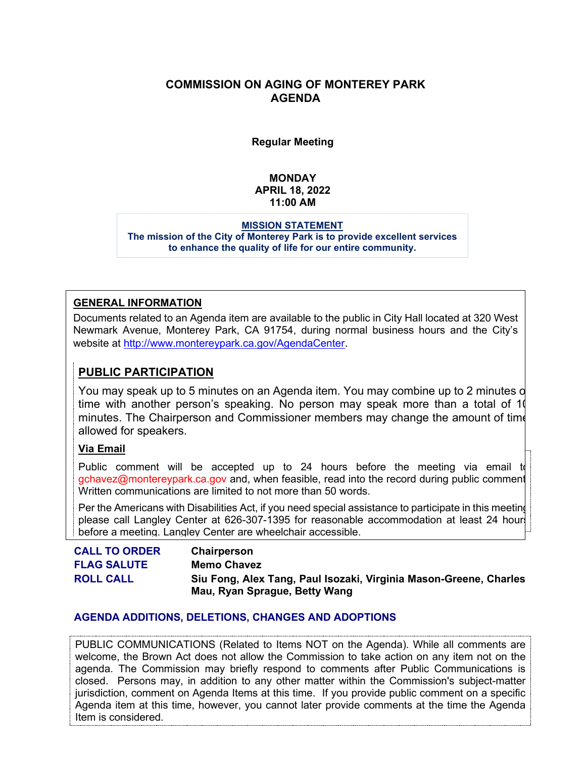## **COMMISSION ON AGING OF MONTEREY PARK AGENDA**

**Regular Meeting**

# **MONDAY APRIL 18, 2022 11:00 AM**

**MISSION STATEMENT The mission of the City of Monterey Park is to provide excellent services to enhance the quality of life for our entire community.**

### **GENERAL INFORMATION**

Documents related to an Agenda item are available to the public in City Hall located at 320 West Newmark Avenue, Monterey Park, CA 91754, during normal business hours and the City's website at [http://www.montereypark.ca.gov/AgendaCenter.](http://www.montereypark.ca.gov/AgendaCenter)

# **PUBLIC PARTICIPATION**

You may speak up to 5 minutes on an Agenda item. You may combine up to 2 minutes o time with another person's speaking. No person may speak more than a total of 10 minutes. The Chairperson and Commissioner members may change the amount of time allowed for speakers.

# **Via Email**

Public comment will be accepted up to 24 hours before the meeting via email to gchavez@montereypark.ca.gov and, when feasible, read into the record during public comment Written communications are limited to not more than 50 words.

Per the Americans with Disabilities Act, if you need special assistance to participate in this meeting please call Langley Center at 626-307-1395 for reasonable accommodation at least 24 hours before a meeting. Langley Center are wheelchair accessible.

| <b>CALL TO ORDER</b> | <b>Chairperson</b>                                                |
|----------------------|-------------------------------------------------------------------|
| <b>FLAG SALUTE</b>   | <b>Memo Chavez</b>                                                |
| <b>ROLL CALL</b>     | Siu Fong, Alex Tang, Paul Isozaki, Virginia Mason-Greene, Charles |
|                      | Mau, Ryan Sprague, Betty Wang                                     |

### **AGENDA ADDITIONS, DELETIONS, CHANGES AND ADOPTIONS**

PUBLIC COMMUNICATIONS (Related to Items NOT on the Agenda). While all comments are welcome, the Brown Act does not allow the Commission to take action on any item not on the agenda. The Commission may briefly respond to comments after Public Communications is closed. Persons may, in addition to any other matter within the Commission's subject-matter jurisdiction, comment on Agenda Items at this time. If you provide public comment on a specific Agenda item at this time, however, you cannot later provide comments at the time the Agenda Item is considered.